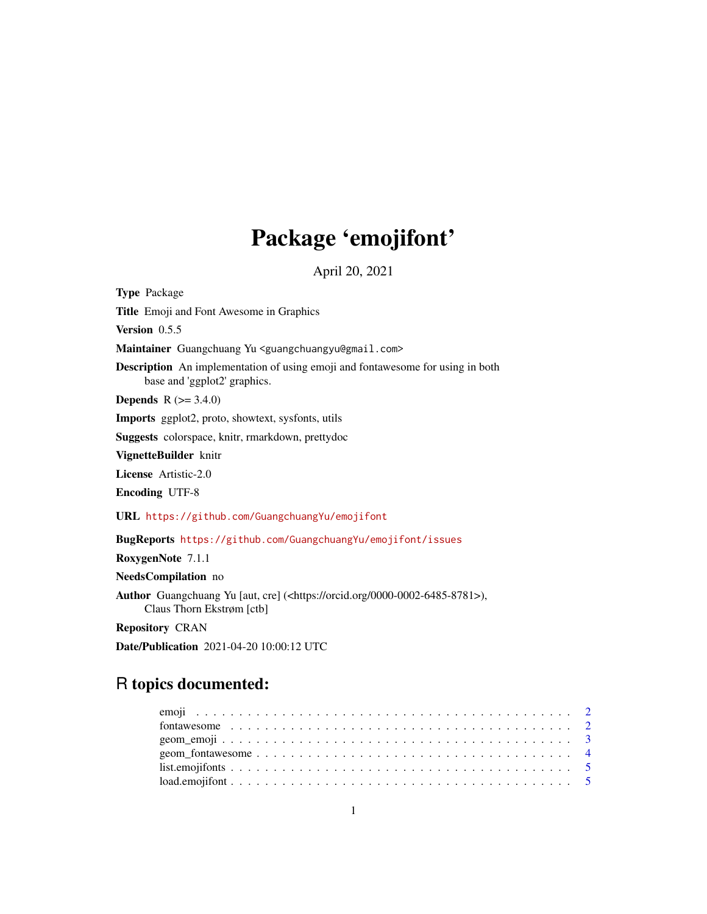# Package 'emojifont'

April 20, 2021

Type Package Title Emoji and Font Awesome in Graphics Version 0.5.5 Maintainer Guangchuang Yu <guangchuangyu@gmail.com> Description An implementation of using emoji and fontawesome for using in both base and 'ggplot2' graphics. **Depends** R  $(>= 3.4.0)$ Imports ggplot2, proto, showtext, sysfonts, utils Suggests colorspace, knitr, rmarkdown, prettydoc VignetteBuilder knitr License Artistic-2.0 Encoding UTF-8 URL <https://github.com/GuangchuangYu/emojifont> BugReports <https://github.com/GuangchuangYu/emojifont/issues> RoxygenNote 7.1.1 NeedsCompilation no Author Guangchuang Yu [aut, cre] (<https://orcid.org/0000-0002-6485-8781>), Claus Thorn Ekstrøm [ctb]

Repository CRAN

Date/Publication 2021-04-20 10:00:12 UTC

## R topics documented: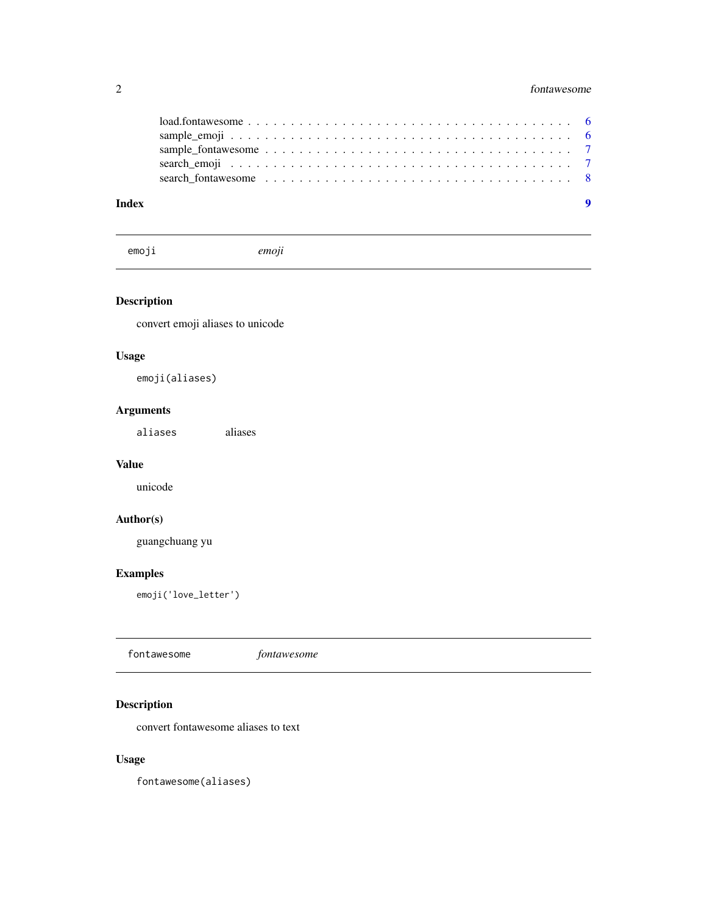<span id="page-1-0"></span>

| Index | - 9                                                                                                    |  |
|-------|--------------------------------------------------------------------------------------------------------|--|
|       |                                                                                                        |  |
|       |                                                                                                        |  |
|       |                                                                                                        |  |
|       |                                                                                                        |  |
|       | $load.fontawesome \ldots \ldots \ldots \ldots \ldots \ldots \ldots \ldots \ldots \ldots \ldots \ldots$ |  |

emoji *emoji*

#### Description

convert emoji aliases to unicode

#### Usage

emoji(aliases)

#### Arguments

aliases aliases

#### Value

unicode

#### Author(s)

guangchuang yu

#### Examples

emoji('love\_letter')

fontawesome *fontawesome*

#### Description

convert fontawesome aliases to text

#### Usage

fontawesome(aliases)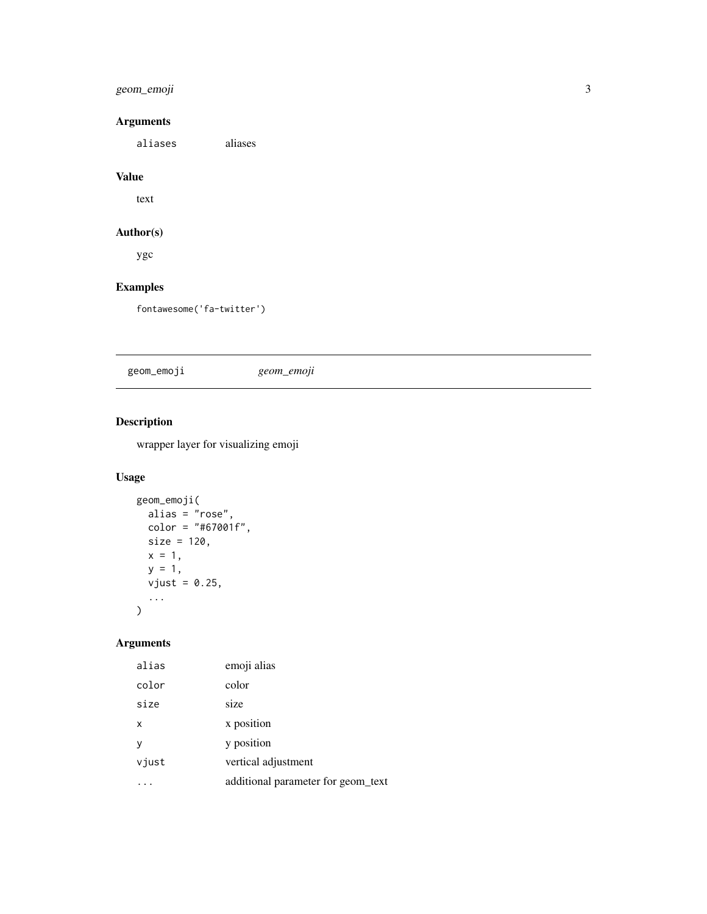#### <span id="page-2-0"></span>geom\_emoji 3

#### Arguments

aliases aliases

#### Value

text

#### Author(s)

ygc

#### Examples

fontawesome('fa-twitter')

geom\_emoji *geom\_emoji*

#### Description

wrapper layer for visualizing emoji

#### Usage

```
geom_emoji(
  alias = "rose",
 color = "#67001f",size = 120,x = 1,
  y = 1,
  vjust = 0.25,
  ...
\mathcal{L}
```
#### Arguments

| alias | emoji alias                        |
|-------|------------------------------------|
| color | color                              |
| size  | size                               |
| x     | x position                         |
| ۷     | y position                         |
| vjust | vertical adjustment                |
|       | additional parameter for geom text |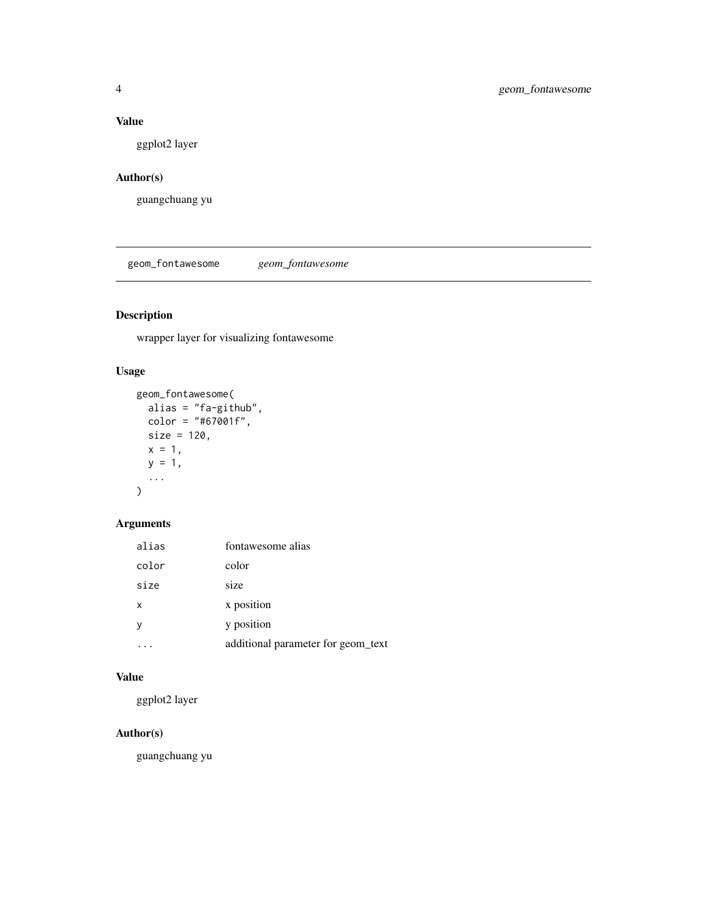#### <span id="page-3-0"></span>Value

ggplot2 layer

#### Author(s)

guangchuang yu

geom\_fontawesome *geom\_fontawesome*

#### Description

wrapper layer for visualizing fontawesome

#### Usage

```
geom_fontawesome(
  alias = "fa-github",
  color = "#67001f",
  size = 120,x = 1,
  y = 1,
  ...
)
```
#### Arguments

| alias | fontawesome alias                  |
|-------|------------------------------------|
| color | color                              |
| size  | size                               |
| x     | x position                         |
| v     | y position                         |
|       | additional parameter for geom_text |

#### Value

ggplot2 layer

#### Author(s)

guangchuang yu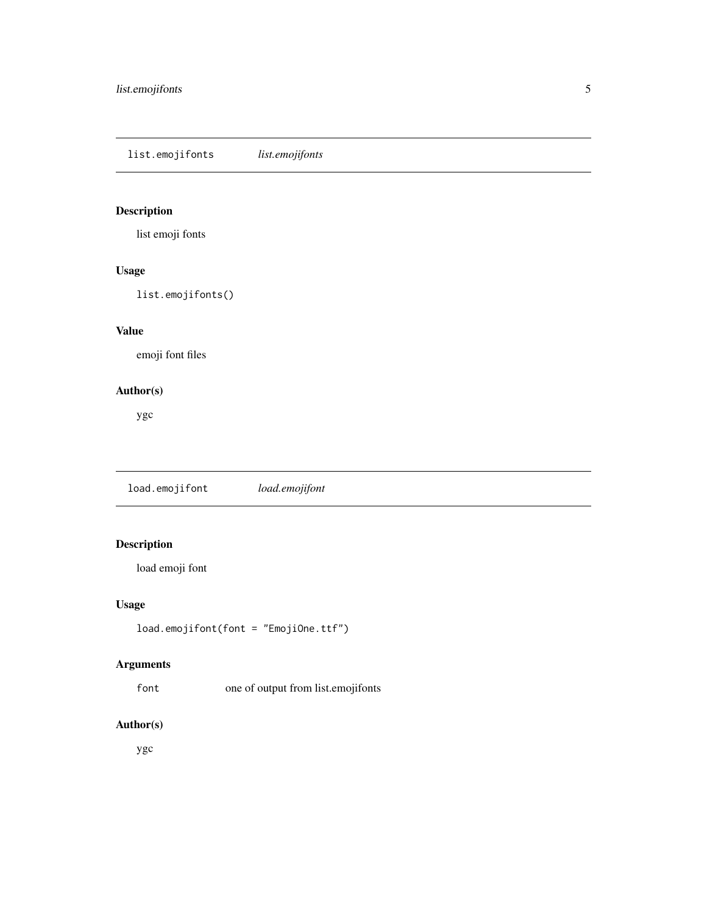<span id="page-4-0"></span>list.emojifonts *list.emojifonts*

#### Description

list emoji fonts

#### Usage

list.emojifonts()

#### Value

emoji font files

#### Author(s)

ygc

load.emojifont *load.emojifont*

#### Description

load emoji font

#### Usage

load.emojifont(font = "EmojiOne.ttf")

#### Arguments

font one of output from list.emojifonts

#### Author(s)

ygc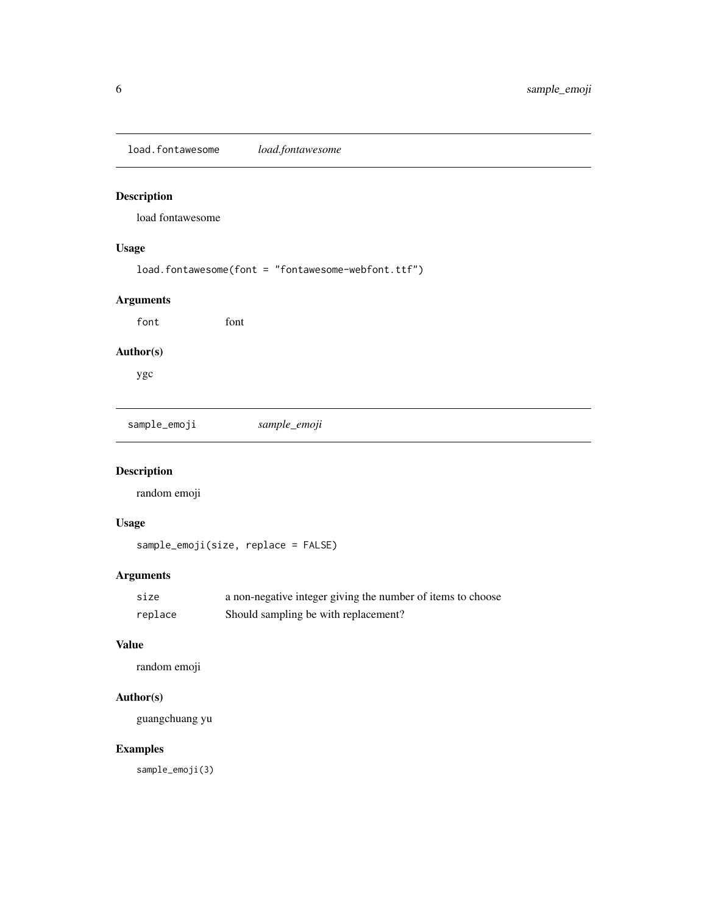<span id="page-5-0"></span>load.fontawesome *load.fontawesome*

#### Description

load fontawesome

#### Usage

load.fontawesome(font = "fontawesome-webfont.ttf")

#### Arguments

font font

#### Author(s)

ygc

sample\_emoji *sample\_emoji*

### Description

random emoji

#### Usage

sample\_emoji(size, replace = FALSE)

#### Arguments

| size    | a non-negative integer giving the number of items to choose |
|---------|-------------------------------------------------------------|
| replace | Should sampling be with replacement?                        |

#### Value

random emoji

#### Author(s)

guangchuang yu

#### Examples

sample\_emoji(3)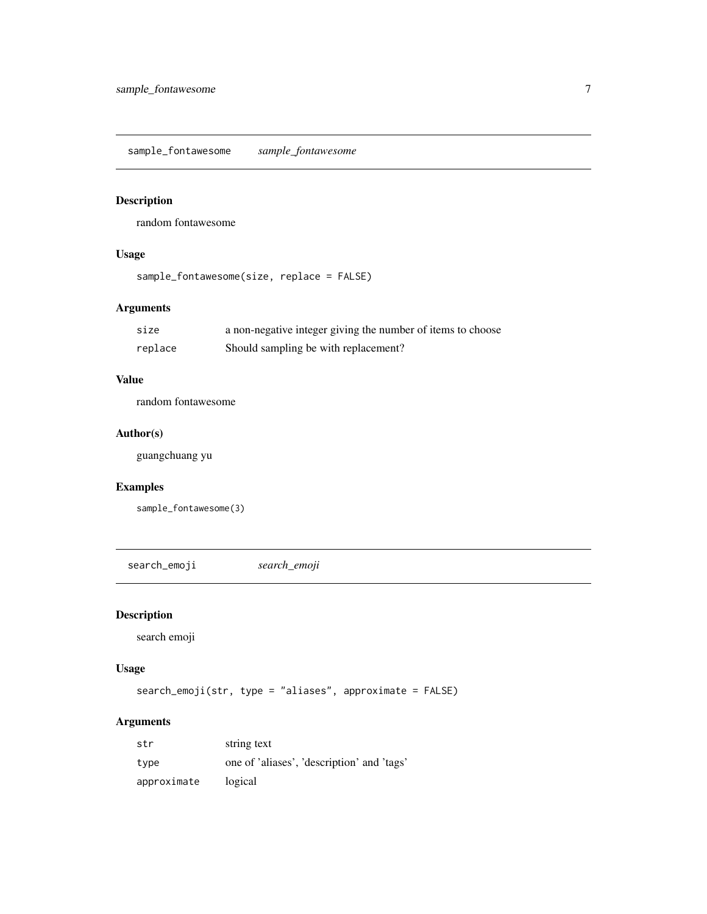<span id="page-6-0"></span>sample\_fontawesome *sample\_fontawesome*

#### Description

random fontawesome

#### Usage

```
sample_fontawesome(size, replace = FALSE)
```
#### Arguments

| size    | a non-negative integer giving the number of items to choose |
|---------|-------------------------------------------------------------|
| replace | Should sampling be with replacement?                        |

#### Value

random fontawesome

#### Author(s)

guangchuang yu

#### Examples

sample\_fontawesome(3)

search\_emoji *search\_emoji*

#### Description

search emoji

#### Usage

search\_emoji(str, type = "aliases", approximate = FALSE)

#### Arguments

| str         | string text                                |
|-------------|--------------------------------------------|
| type        | one of 'aliases', 'description' and 'tags' |
| approximate | logical                                    |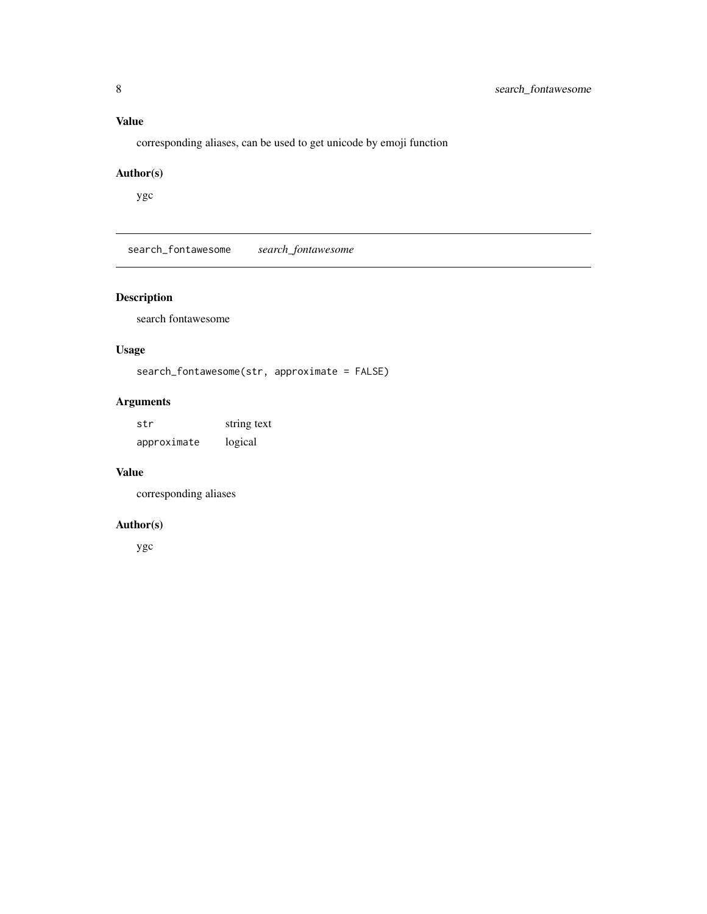#### <span id="page-7-0"></span>Value

corresponding aliases, can be used to get unicode by emoji function

#### Author(s)

ygc

search\_fontawesome *search\_fontawesome*

#### Description

search fontawesome

#### Usage

```
search_fontawesome(str, approximate = FALSE)
```
#### Arguments

| str         | string text |
|-------------|-------------|
| approximate | logical     |

#### Value

corresponding aliases

#### Author(s)

ygc